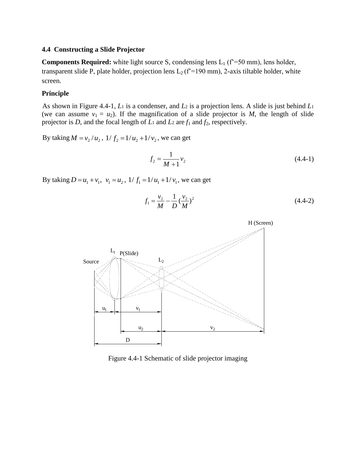## **4.4 Constructing a Slide Projector**

**Components Required:** white light source S, condensing lens  $L_1$  ( $f^2$ =50 mm), lens holder, transparent slide P, plate holder, projection lens  $L_2$  (f<sup>2</sup>=190 mm), 2-axis tiltable holder, white screen.

## **Principle**

As shown in Figure 4.4-1, *L*<sup>1</sup> is a condenser, and *L*<sup>2</sup> is a projection lens. A slide is just behind *L*<sup>1</sup> (we can assume  $v_1 = u_2$ ). If the magnification of a slide projector is *M*, the length of slide projector is *D*, and the focal length of *L*<sup>1</sup> and *L*<sup>2</sup> are *f*<sup>1</sup> and *f*2, respectively.

By taking  $M = v_2/u_2$ ,  $1/f_2 = 1/u_2 + 1/v_2$ , we can get

$$
f_2 = \frac{1}{M+1} v_2 \tag{4.4-1}
$$

By taking  $D = u_1 + v_1$ ,  $v_1 = u_2$ ,  $1/f_1 = 1/u_1 + 1/v_1$ , we can get

$$
f_1 = \frac{v_2}{M} - \frac{1}{D} \left(\frac{v_2}{M}\right)^2 \tag{4.4-2}
$$



Figure 4.4-1 Schematic of slide projector imaging